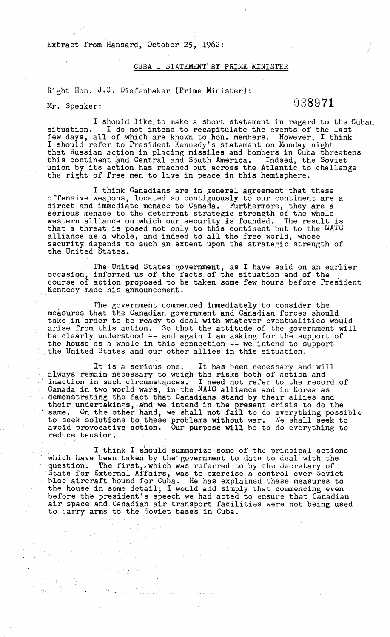Extract from Hansard, October 25, 1962:

## CUBA - STATEMENT BY PRIME MINISTER

Right Hon. J.G. Diefenbaker (Prime Minister):

Mr. Speaker:

038971

I should like to make a short statement in regard to the Cuban situation. I do not intend to recapitulate the events of the last I do not intend to recapitulate the events of the last few days, all of which are known to hon. members. However, I think I should refer to President Kennedy's statement on Monday night that Russian action in placing missiles and bombers in Cuba threatens this continent and Central and South America. Indeed, the Soviet union by its action has reached out across the Atlantic to challenge the right of free men to live in peace in this hemisphere.

I think Canadians are in general agreement that these offensive weapons, located so contiguously to our continent are a direct and immediate menace to Canada. Furthermore, they are a serious menace to the deterrent strategic strength of the whole western alliance on which our security is founded. The result is that a threat is posed not only to this continent but to the NATO alliance as a whole, and indeed to all the free world, whose security depends to such an extent upon the strategic strength of the United States.

. The United States government, as I have said on an earlier occasion, informed us of the facts of the situation and of the course of action proposed to be taken some few hours before President Kennedy made his announcement.

The government commenced immediately to consider the measures that the Canadian government and Canadian forces should take in order to be ready to deal with whatever eventualities would arise from this action. So that the attitude of the government will be clearly understood -- and again I am asking for the support of the house as a whole in this connection -- we intend to support the United States and our other allies in this situation.

It is a serious one. It has been necessary and will always remain necessary to weigh the risks both of action and inaction in such circumstances. I need not refer to the record of Canada in two world wars, in the NATO alliance and in Korea as demonstrating the fact that Canadians stand by their allies and their undertakings. and we intend in the present crisis to do the same. On the other hand, we shall not fail to do everything possible to seek solutions to these problems without war. We shall seek to avoid provocative actioh. Our purpose will be to do everything to reduce tension.

I think I should summarize some of the principal actions which have been taken by the'government to date to deal with the question. The first, which was referred to by the Secretary of .State for External Affairs, was to exercise a control over Soviet bloc aircraft bound'for Cuba. He has explained these measures to the house in some detail; I would add simply that commencing even before the president's speech we had acted to ensure that Canadian air space and Canadian air transport facilities were not being used to carry arms to the Soviet bases in Cuba.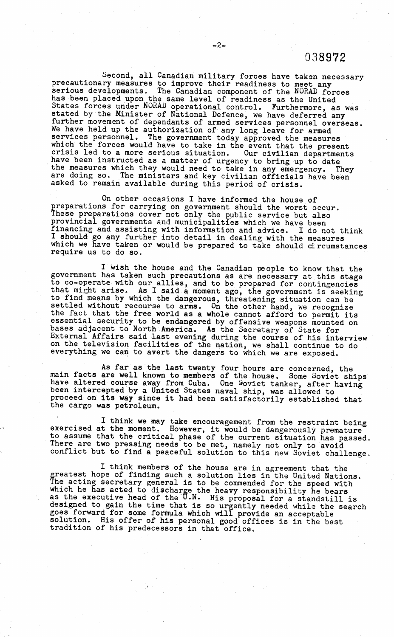038972

Second, all Canadian military forces have taken necessar precautionary measures to improve their readiness to meet any serious developments. The Canadian component of the NORAD force has been placed upon the same level of readiness as the Unite States forces under NORAD operational control. Furthermore, as was stated by the Minister of National Defence, we have deferred any further movement of dependants of armed services personnel overseas. We have held up the authorization of any long leave for armed<br>services personnel. The government today approved the measure The government today approved the measures which the forces would have to take in the event that the present crisis led to a more serious situation. Our civilian departments crisis led to a more serious situation. Our civilian department have been instructed as a matter of urgency to bring up to date the measures which they would need to take in any emergency. They are doing so. The ministers and key civilian officials have been asked to remain available during this period of crisis.

On other occasions I have informed the house of preparations for carrying on government should the worst occur. Inese preparations cover not only the public service but also provincial governments and municipalitfes which we have been  $I$ inancing and assisting with information and advice. I do not think I should go any further into detail in dealing with the measure which we have taken or would be prepared to take should circumstance require us to do so.

I wish the house and the Canadian people to know that the government has taken such precautions as are necessary at this stage to co-operate with our allies, and to be prepared for contingencie that might arise. As I said a moment ago, the government is seeking to find means by which the dangerous, threatening situation can be settled without recourse to arms. On the other hand, we recognize the fact that the free world as a whole cannot afford to permit its essential security to be endangered by offensive weapons mounted on bases adjacent to North America. As the Secretary of State for External Affairs said last evening during the course of his interview on the television facilities of the nation, we shall continue to do everything we can to avert the dangers to which we are exposed.

As far as the last twenty four hours are concerned, the main facts are well known to members of the house. Some Soviet ships have altered course away from Cuba. One &oviet tanker, after haVing been intercepted by a United States naval ship, was allowed to proceed on its way since it had been satisfactorily established that the cargo was petroleum.

I think we may take encouragement from the restraint being exercised at the moment. However, it would be dangerously premature to assume that the critical phase of the current situation has passed. There are two pressing needs to be met, namely not only to avoid conflict but to find a peaceful solution to this new Soviet challenge.

I think members of the house are in agreement that the greatest hope of finding such a solution lies in the United Nations. The acting secretary general is to be commended for the speed with which he has acted to discharge the heavy responsibility he bears is the executive head of the  $U.N.$  His proposal for a standstill is lesigned to gain the time that is so urgently needed while the search goes forward for some formula which will provide an acceptable olution. His offer of his personal good offices is in the best tradition of his predecessors in that office.